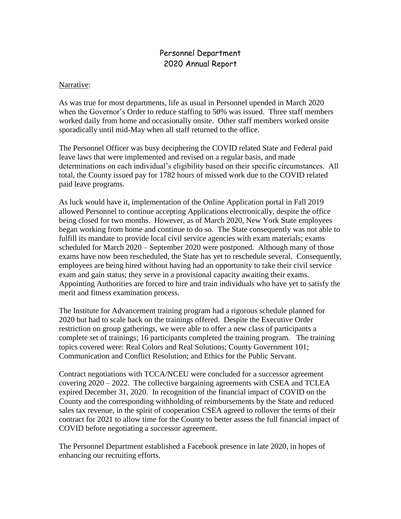## Personnel Department 2020 Annual Report

## Narrative:

As was true for most departments, life as usual in Personnel upended in March 2020 when the Governor's Order to reduce staffing to 50% was issued. Three staff members worked daily from home and occasionally onsite. Other staff members worked onsite sporadically until mid-May when all staff returned to the office.

The Personnel Officer was busy deciphering the COVID related State and Federal paid leave laws that were implemented and revised on a regular basis, and made determinations on each individual's eligibility based on their specific circumstances. All total, the County issued pay for 1782 hours of missed work due to the COVID related paid leave programs.

As luck would have it, implementation of the Online Application portal in Fall 2019 allowed Personnel to continue accepting Applications electronically, despite the office being closed for two months. However, as of March 2020, New York State employees began working from home and continue to do so. The State consequently was not able to fulfill its mandate to provide local civil service agencies with exam materials; exams scheduled for March 2020 – September 2020 were postponed. Although many of those exams have now been rescheduled, the State has yet to reschedule several. Consequently, employees are being hired without having had an opportunity to take their civil service exam and gain status; they serve in a provisional capacity awaiting their exams. Appointing Authorities are forced to hire and train individuals who have yet to satisfy the merit and fitness examination process.

The Institute for Advancement training program had a rigorous schedule planned for 2020 but had to scale back on the trainings offered. Despite the Executive Order restriction on group gatherings, we were able to offer a new class of participants a complete set of trainings; 16 participants completed the training program. The training topics covered were: Real Colors and Real Solutions; County Government 101; Communication and Conflict Resolution; and Ethics for the Public Servant.

Contract negotiations with TCCA/NCEU were concluded for a successor agreement covering 2020 – 2022. The collective bargaining agreements with CSEA and TCLEA expired December 31, 2020. In recognition of the financial impact of COVID on the County and the corresponding withholding of reimbursements by the State and reduced sales tax revenue, in the spirit of cooperation CSEA agreed to rollover the terms of their contract for 2021 to allow time for the County to better assess the full financial impact of COVID before negotiating a successor agreement.

The Personnel Department established a Facebook presence in late 2020, in hopes of enhancing our recruiting efforts.